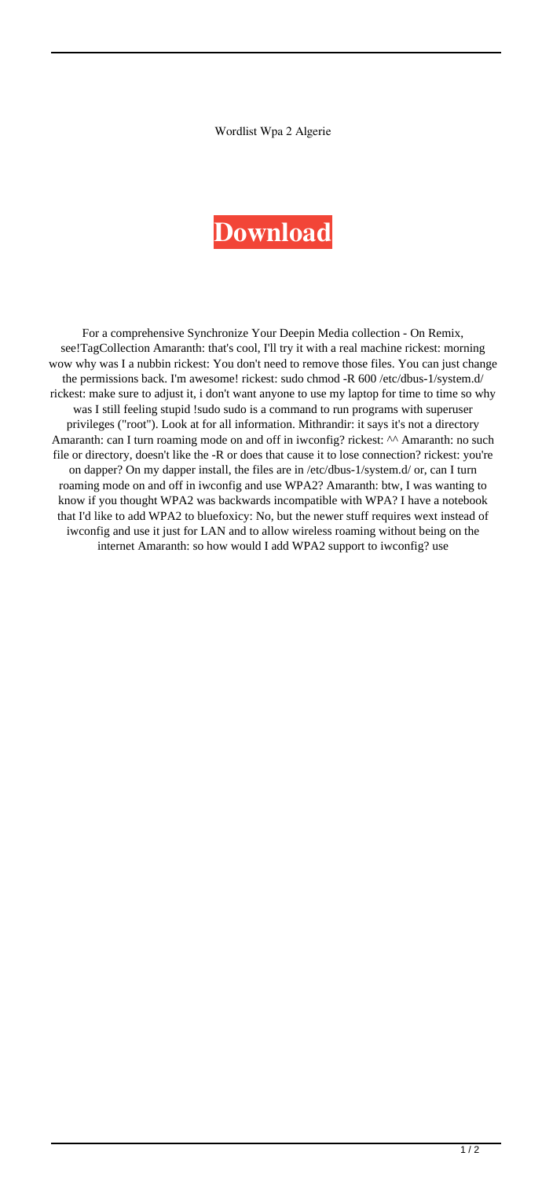Wordlist Wpa 2 Algerie

## **[Download](http://evacdir.com/light/cates/d29yZGxpc3Qgd3BhIDIgYWxnZXJpZQd29.drowsy/ZG93bmxvYWR8N25zZUhnMmZId3hOalV5TkRZek1EVXdmSHd5TlRjMGZId29UU2tnY21WaFpDMWliRzluSUZ0R1lYTjBJRWRGVGww/earthling/enchant?ratlines=incapacities)**

For a comprehensive Synchronize Your Deepin Media collection - On Remix, see!TagCollection Amaranth: that's cool, I'll try it with a real machine rickest: morning wow why was I a nubbin rickest: You don't need to remove those files. You can just change the permissions back. I'm awesome! rickest: sudo chmod -R 600 /etc/dbus-1/system.d/ rickest: make sure to adjust it, i don't want anyone to use my laptop for time to time so why was I still feeling stupid !sudo sudo is a command to run programs with superuser privileges ("root"). Look at for all information. Mithrandir: it says it's not a directory Amaranth: can I turn roaming mode on and off in iwconfig? rickest: ^^ Amaranth: no such file or directory, doesn't like the -R or does that cause it to lose connection? rickest: you're on dapper? On my dapper install, the files are in /etc/dbus-1/system.d/ or, can I turn roaming mode on and off in iwconfig and use WPA2? Amaranth: btw, I was wanting to know if you thought WPA2 was backwards incompatible with WPA? I have a notebook that I'd like to add WPA2 to bluefoxicy: No, but the newer stuff requires wext instead of iwconfig and use it just for LAN and to allow wireless roaming without being on the internet Amaranth: so how would I add WPA2 support to iwconfig? use